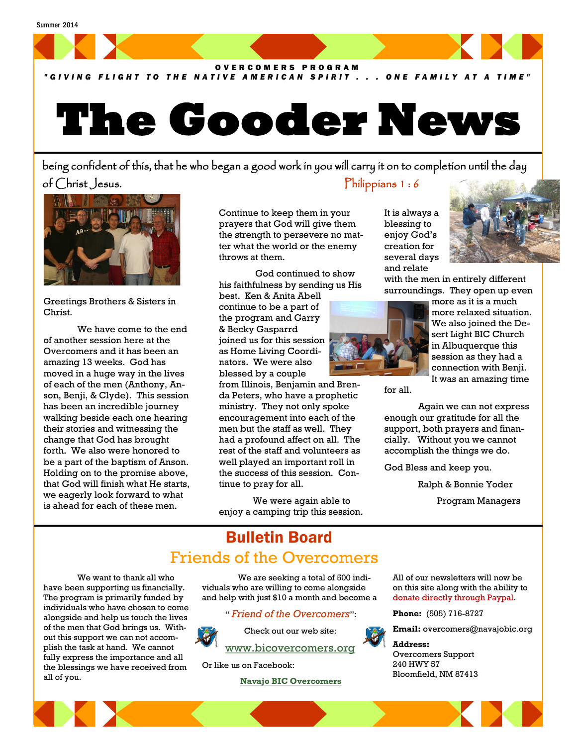

### *" G I V I N G F L I G H T T O T H E N A T I V E A M E R I C A N S P I R I T . . . O N E F A M I L Y A T A T I M E "*

# **The Gooder News**

being confident of this, that he who began a good work in you will carry it on to completion until the day of Christ Jesus. Philippians 1 : 6



Greetings Brothers & Sisters in Christ.

We have come to the end of another session here at the Overcomers and it has been an amazing 13 weeks. God has moved in a huge way in the lives of each of the men (Anthony, Anson, Benji, & Clyde). This session has been an incredible journey walking beside each one hearing their stories and witnessing the change that God has brought forth. We also were honored to be a part of the baptism of Anson. Holding on to the promise above, that God will finish what He starts, we eagerly look forward to what is ahead for each of these men.

Continue to keep them in your prayers that God will give them the strength to persevere no matter what the world or the enemy throws at them.

God continued to show his faithfulness by sending us His

best. Ken & Anita Abell continue to be a part of the program and Garry & Becky Gasparrd joined us for this session as Home Living Coordinators. We were also blessed by a couple

from Illinois, Benjamin and Brenda Peters, who have a prophetic ministry. They not only spoke encouragement into each of the men but the staff as well. They had a profound affect on all. The rest of the staff and volunteers as well played an important roll in the success of this session. Continue to pray for all.

We were again able to enjoy a camping trip this session. It is always a blessing to enjoy God's creation for several days and relate



with the men in entirely different surroundings. They open up even



more as it is a much more relaxed situation. We also joined the Desert Light BIC Church in Albuquerque this session as they had a connection with Benji. It was an amazing time

for all.

Again we can not express enough our gratitude for all the support, both prayers and financially. Without you we cannot accomplish the things we do.

God Bless and keep you.

Ralph & Bonnie Yoder

Program Managers

## Bulletin Board Friends of the Overcomers

We want to thank all who have been supporting us financially. The program is primarily funded by individuals who have chosen to come alongside and help us touch the lives of the men that God brings us. Without this support we can not accomplish the task at hand. We cannot fully express the importance and all the blessings we have received from all of you.

We are seeking a total of 500 individuals who are willing to come alongside and help with just \$10 a month and become a

" *Friend of the Overcomers*":



Check out our web site: [www.bicovercomers.org](http://bicovercomers.org/)

Or like us on Facebook:

 **[Navajo BIC Overcomers](https://www.facebook.com/)**

All of our newsletters will now be on this site along with the ability to donate directly through Paypal.

**Phone:** (505) 716-8727

**Email:** overcomers@navajobic.org

**Address:**  Overcomers Support 240 HWY 57 Bloomfield, NM 87413